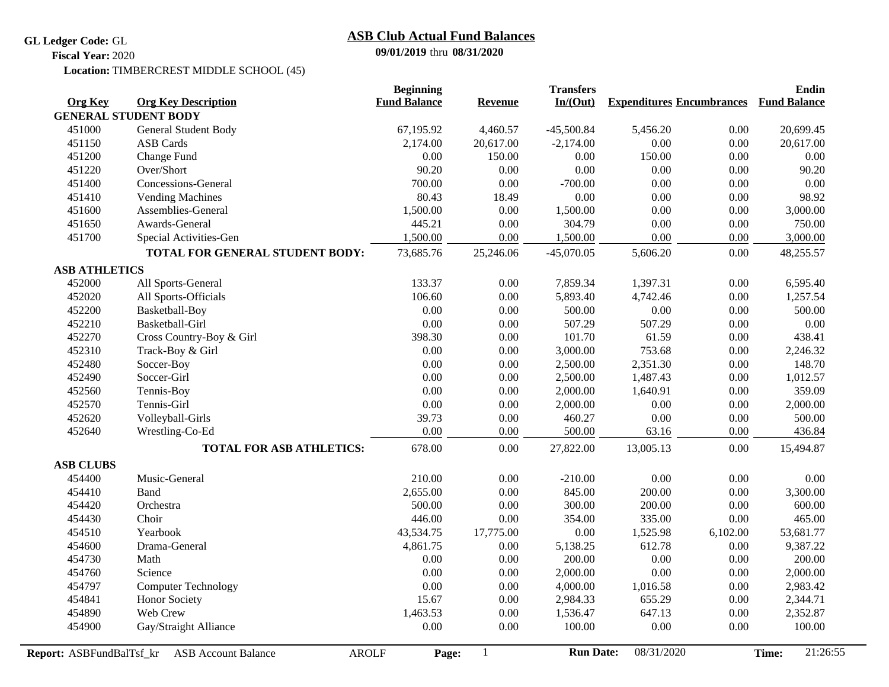**GL Ledger Code:** GL

## **09/01/2019** thru **08/31/2020 ASB Club Actual Fund Balances**

**Fiscal Year:** 2020

Location: TIMBERCREST MIDDLE SCHOOL (45)

|                          |                                            | <b>Beginning</b>    |                | <b>Transfers</b> |                                               |          | <b>Endin</b>      |
|--------------------------|--------------------------------------------|---------------------|----------------|------------------|-----------------------------------------------|----------|-------------------|
| <b>Org Key</b>           | <b>Org Key Description</b>                 | <b>Fund Balance</b> | <b>Revenue</b> | In/(Out)         | <b>Expenditures Encumbrances Fund Balance</b> |          |                   |
|                          | <b>GENERAL STUDENT BODY</b>                |                     |                |                  |                                               |          |                   |
| 451000                   | General Student Body                       | 67,195.92           | 4,460.57       | $-45,500.84$     | 5,456.20                                      | 0.00     | 20,699.45         |
| 451150                   | <b>ASB</b> Cards                           | 2,174.00            | 20,617.00      | $-2,174.00$      | 0.00                                          | 0.00     | 20,617.00         |
| 451200                   | Change Fund                                | 0.00                | 150.00         | 0.00             | 150.00                                        | 0.00     | 0.00              |
| 451220                   | Over/Short                                 | 90.20               | 0.00           | 0.00             | 0.00                                          | 0.00     | 90.20             |
| 451400                   | Concessions-General                        | 700.00              | 0.00           | $-700.00$        | 0.00                                          | 0.00     | 0.00              |
| 451410                   | <b>Vending Machines</b>                    | 80.43               | 18.49          | 0.00             | 0.00                                          | 0.00     | 98.92             |
| 451600                   | Assemblies-General                         | 1,500.00            | 0.00           | 1,500.00         | 0.00                                          | 0.00     | 3,000.00          |
| 451650                   | Awards-General                             | 445.21              | 0.00           | 304.79           | 0.00                                          | 0.00     | 750.00            |
| 451700                   | Special Activities-Gen                     | 1,500.00            | 0.00           | 1,500.00         | 0.00                                          | 0.00     | 3,000.00          |
|                          | TOTAL FOR GENERAL STUDENT BODY:            | 73,685.76           | 25,246.06      | $-45,070.05$     | 5,606.20                                      | 0.00     | 48,255.57         |
| <b>ASB ATHLETICS</b>     |                                            |                     |                |                  |                                               |          |                   |
| 452000                   | All Sports-General                         | 133.37              | 0.00           | 7,859.34         | 1,397.31                                      | 0.00     | 6,595.40          |
| 452020                   | All Sports-Officials                       | 106.60              | 0.00           | 5,893.40         | 4,742.46                                      | 0.00     | 1,257.54          |
| 452200                   | Basketball-Boy                             | 0.00                | 0.00           | 500.00           | 0.00                                          | 0.00     | 500.00            |
| 452210                   | Basketball-Girl                            | 0.00                | 0.00           | 507.29           | 507.29                                        | 0.00     | 0.00              |
| 452270                   | Cross Country-Boy & Girl                   | 398.30              | 0.00           | 101.70           | 61.59                                         | 0.00     | 438.41            |
| 452310                   | Track-Boy & Girl                           | 0.00                | 0.00           | 3,000.00         | 753.68                                        | 0.00     | 2,246.32          |
| 452480                   | Soccer-Boy                                 | 0.00                | 0.00           | 2,500.00         | 2,351.30                                      | 0.00     | 148.70            |
| 452490                   | Soccer-Girl                                | 0.00                | 0.00           | 2,500.00         | 1,487.43                                      | 0.00     | 1,012.57          |
| 452560                   | Tennis-Boy                                 | 0.00                | 0.00           | 2,000.00         | 1,640.91                                      | 0.00     | 359.09            |
| 452570                   | Tennis-Girl                                | 0.00                | 0.00           | 2,000.00         | 0.00                                          | 0.00     | 2,000.00          |
| 452620                   | Volleyball-Girls                           | 39.73               | 0.00           | 460.27           | 0.00                                          | 0.00     | 500.00            |
| 452640                   | Wrestling-Co-Ed                            | 0.00                | 0.00           | 500.00           | 63.16                                         | 0.00     | 436.84            |
|                          | <b>TOTAL FOR ASB ATHLETICS:</b>            | 678.00              | 0.00           | 27,822.00        | 13,005.13                                     | 0.00     | 15,494.87         |
| <b>ASB CLUBS</b>         |                                            |                     |                |                  |                                               |          |                   |
| 454400                   | Music-General                              | 210.00              | 0.00           | $-210.00$        | 0.00                                          | 0.00     | 0.00              |
| 454410                   | <b>Band</b>                                | 2,655.00            | 0.00           | 845.00           | 200.00                                        | 0.00     | 3,300.00          |
| 454420                   | Orchestra                                  | 500.00              | 0.00           | 300.00           | 200.00                                        | $0.00\,$ | 600.00            |
| 454430                   | Choir                                      | 446.00              | 0.00           | 354.00           | 335.00                                        | $0.00\,$ | 465.00            |
| 454510                   | Yearbook                                   | 43,534.75           | 17,775.00      | 0.00             | 1,525.98                                      | 6,102.00 | 53,681.77         |
| 454600                   | Drama-General                              | 4,861.75            | 0.00           | 5,138.25         | 612.78                                        | $0.00\,$ | 9,387.22          |
| 454730                   | Math                                       | 0.00                | 0.00           | 200.00           | 0.00                                          | $0.00\,$ | 200.00            |
| 454760                   | Science                                    | 0.00                | 0.00           | 2,000.00         | 0.00                                          | $0.00\,$ | 2,000.00          |
| 454797                   | <b>Computer Technology</b>                 | 0.00                | 0.00           | 4,000.00         | 1,016.58                                      | $0.00\,$ | 2,983.42          |
| 454841                   | <b>Honor Society</b>                       | 15.67               | 0.00           | 2,984.33         | 655.29                                        | $0.00\,$ | 2,344.71          |
| 454890                   | Web Crew                                   | 1,463.53            | 0.00           | 1,536.47         | 647.13                                        | $0.00\,$ | 2,352.87          |
| 454900                   | Gay/Straight Alliance                      | 0.00                | 0.00           | 100.00           | 0.00                                          | $0.00\,$ | 100.00            |
| Report: ASBFundBalTsf_kr | <b>AROLF</b><br><b>ASB</b> Account Balance | Page:               | 1              | <b>Run Date:</b> | 08/31/2020                                    |          | 21:26:55<br>Time: |